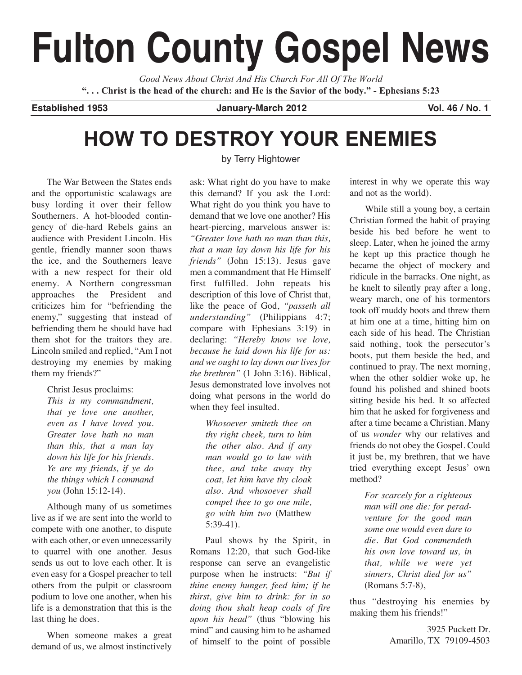# **Fulton County Gospel News**

*Good News About Christ And His Church For All Of The World* "... Christ is the head of the church: and He is the Savior of the body." - Ephesians 5:23

**Established 1953 January-March 2012 Vol. 46 / No. 1**

# **HOW TO DESTROY YOUR ENEMIES**

by Terry Hightower

The War Between the States ends and the opportunistic scalawags are busy lording it over their fellow Southerners. A hot-blooded contingency of die-hard Rebels gains an audience with President Lincoln. His gentle, friendly manner soon thaws the ice, and the Southerners leave with a new respect for their old enemy. A Northern congressman approaches the President and criticizes him for "befriending the enemy," suggesting that instead of befriending them he should have had them shot for the traitors they are. Lincoln smiled and replied, "Am I not destroying my enemies by making them my friends?"

Christ Jesus proclaims:

*This is my commandment, that ye love one another, even as I have loved you. Greater love hath no man than this, that a man lay down his life for his friends. Ye are my friends, if ye do the things which I command you* (John 15:12-14).

Although many of us sometimes live as if we are sent into the world to compete with one another, to dispute with each other, or even unnecessarily to quarrel with one another. Jesus sends us out to love each other. It is even easy for a Gospel preacher to tell others from the pulpit or classroom podium to love one another, when his life is a demonstration that this is the last thing he does.

When someone makes a great demand of us, we almost instinctively

ask: What right do you have to make this demand? If you ask the Lord: What right do you think you have to demand that we love one another? His heart-piercing, marvelous answer is: *"Greater love hath no man than this, that a man lay down his life for his friends"* (John 15:13). Jesus gave men a commandment that He Himself first fulfilled. John repeats his description of this love of Christ that, like the peace of God, *"passeth all understanding"* (Philippians 4:7; compare with Ephesians 3:19) in declaring: *"Hereby know we love, because he laid down his life for us: and we ought to lay down our lives for the brethren"* (1 John 3:16). Biblical, Jesus demonstrated love involves not doing what persons in the world do when they feel insulted.

> *Whosoever smiteth thee on thy right cheek, turn to him the other also. And if any man would go to law with thee, and take away thy coat, let him have thy cloak also. And whosoever shall compel thee to go one mile, go with him two* (Matthew 5:39-41).

Paul shows by the Spirit, in Romans 12:20, that such God-like response can serve an evangelistic purpose when he instructs: *"But if thine enemy hunger, feed him; if he thirst, give him to drink: for in so doing thou shalt heap coals of fire upon his head"* (thus "blowing his mind" and causing him to be ashamed of himself to the point of possible

interest in why we operate this way and not as the world).

While still a young boy, a certain Christian formed the habit of praying beside his bed before he went to sleep. Later, when he joined the army he kept up this practice though he became the object of mockery and ridicule in the barracks. One night, as he knelt to silently pray after a long, weary march, one of his tormentors took off muddy boots and threw them at him one at a time, hitting him on each side of his head. The Christian said nothing, took the persecutor's boots, put them beside the bed, and continued to pray. The next morning, when the other soldier woke up, he found his polished and shined boots sitting beside his bed. It so affected him that he asked for forgiveness and after a time became a Christian. Many of us *wonder* why our relatives and friends do not obey the Gospel. Could it just be, my brethren, that we have tried everything except Jesus' own method?

> *For scarcely for a righteous man will one die: for peradventure for the good man some one would even dare to die. But God commendeth his own love toward us, in that, while we were yet sinners, Christ died for us"* (Romans 5:7-8),

thus "destroying his enemies by making them his friends!"

> 3925 Puckett Dr. Amarillo, TX 79109-4503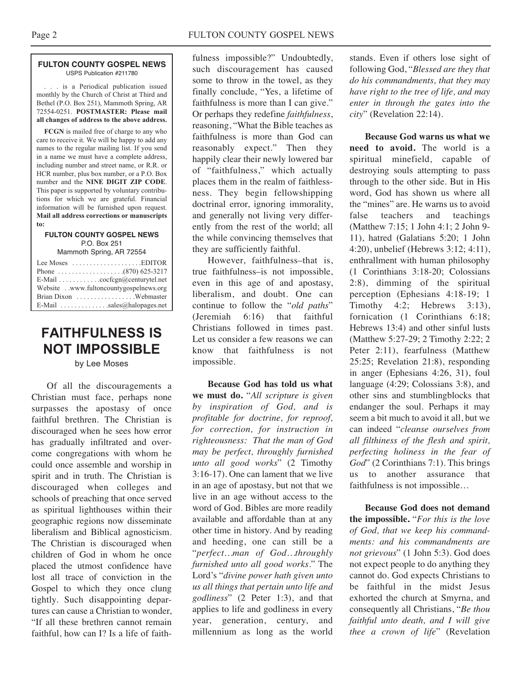#### **FULTON COUNTY GOSPEL NEWS** USPS Publication #211780

. . . is a Periodical publication issued monthly by the Church of Christ at Third and Bethel (P.O. Box 251), Mammoth Spring, AR 72554-0251. **POSTMASTER: Please mail all changes of address to the above address.**

**FCGN** is mailed free of charge to any who care to receive it. We will be happy to add any names to the regular mailing list. If you send in a name we must have a complete address, including number and street name, or R.R. or HCR number, plus box number, or a P.O. Box number and the **NINE DIGIT ZIP CODE**. This paper is supported by voluntary contributions for which we are grateful. Financial information will be furnished upon request. **Mail all address corrections or manuscripts to:**

#### **FULTON COUNTY GOSPEL NEWS** P.O. Box 251

Mammoth Spring, AR 72554

| Lee Moses $\dots\dots\dots\dots\dots\dots$ . EDITOR              |
|------------------------------------------------------------------|
|                                                                  |
| E-Mail cocfcgn@centurytel.net                                    |
| Website . www.fultoncountygospelnews.org                         |
|                                                                  |
| E-Mail $\ldots$ , $\ldots$ , $\ldots$ , sales (a) halo pages net |

## **FAITHFULNESS IS NOT IMPOSSIBLE**

by Lee Moses

Of all the discouragements a Christian must face, perhaps none surpasses the apostasy of once faithful brethren. The Christian is discouraged when he sees how error has gradually infiltrated and overcome congregations with whom he could once assemble and worship in spirit and in truth. The Christian is discouraged when colleges and schools of preaching that once served as spiritual lighthouses within their geographic regions now disseminate liberalism and Biblical agnosticism. The Christian is discouraged when children of God in whom he once placed the utmost confidence have lost all trace of conviction in the Gospel to which they once clung tightly. Such disappointing departures can cause a Christian to wonder, "If all these brethren cannot remain faithful, how can I? Is a life of faithfulness impossible?" Undoubtedly, such discouragement has caused some to throw in the towel, as they finally conclude, "Yes, a lifetime of faithfulness is more than I can give." Or perhaps they redefine *faithfulness*, reasoning, "What the Bible teaches as faithfulness is more than God can reasonably expect." Then they happily clear their newly lowered bar of "faithfulness," which actually places them in the realm of faithlessness. They begin fellowshipping doctrinal error, ignoring immorality, and generally not living very differently from the rest of the world; all the while convincing themselves that they are sufficiently faithful.

However, faithfulness–that is, true faithfulness–is not impossible, even in this age of and apostasy, liberalism, and doubt. One can continue to follow the "*old paths*" (Jeremiah 6:16) that faithful Christians followed in times past. Let us consider a few reasons we can know that faithfulness is not impossible.

**Because God has told us what we must do.** "*All scripture is given by inspiration of God, and is profitable for doctrine, for reproof, for correction, for instruction in righteousness: That the man of God may be perfect, throughly furnished unto all good works*" (2 Timothy 3:16-17). One can lament that we live in an age of apostasy, but not that we live in an age without access to the word of God. Bibles are more readily available and affordable than at any other time in history. And by reading and heeding, one can still be a "*perfect…man of God…throughly furnished unto all good works.*" The Lord's "*divine power hath given unto us all things that pertain unto life and godliness*" (2 Peter 1:3), and that applies to life and godliness in every year, generation, century, and millennium as long as the world

stands. Even if others lose sight of following God, "*Blessed are they that do his commandments, that they may have right to the tree of life, and may enter in through the gates into the city*" (Revelation 22:14).

**Because God warns us what we need to avoid.** The world is a spiritual minefield, capable of destroying souls attempting to pass through to the other side. But in His word, God has shown us where all the "mines" are. He warns us to avoid false teachers and teachings (Matthew 7:15; 1 John 4:1; 2 John 9- 11), hatred (Galatians 5:20; 1 John 4:20), unbelief (Hebrews 3:12; 4:11), enthrallment with human philosophy (1 Corinthians 3:18-20; Colossians 2:8), dimming of the spiritual perception (Ephesians 4:18-19; 1 Timothy  $4:2$ ; Hebrews  $3:13$ ), fornication (1 Corinthians 6:18; Hebrews 13:4) and other sinful lusts (Matthew 5:27-29; 2 Timothy 2:22; 2 Peter 2:11), fearfulness (Matthew 25:25; Revelation 21:8), responding in anger (Ephesians 4:26, 31), foul language (4:29; Colossians 3:8), and other sins and stumblingblocks that endanger the soul. Perhaps it may seem a bit much to avoid it all, but we can indeed "*cleanse ourselves from all filthiness of the flesh and spirit, perfecting holiness in the fear of God*" (2 Corinthians 7:1). This brings us to another assurance that faithfulness is not impossible…

**Because God does not demand the impossible.** "*For this is the love of God, that we keep his commandments: and his commandments are not grievous*" (1 John 5:3). God does not expect people to do anything they cannot do. God expects Christians to be faithful in the midst Jesus exhorted the church at Smyrna, and consequently all Christians, "*Be thou faithful unto death, and I will give thee a crown of life*" (Revelation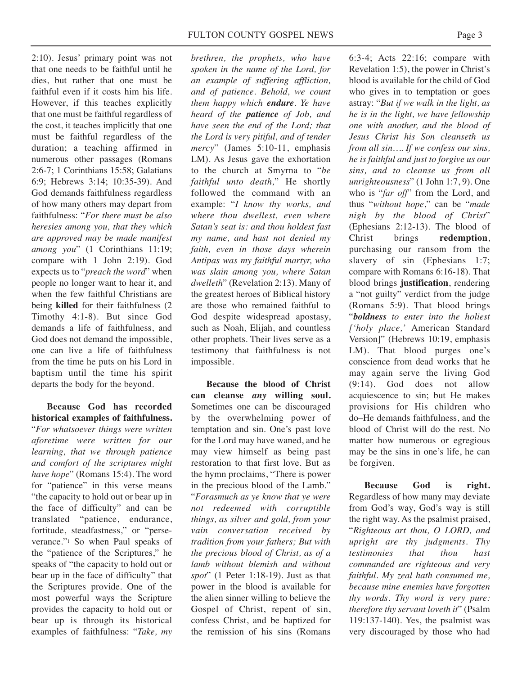2:10). Jesus' primary point was not that one needs to be faithful until he dies, but rather that one must be faithful even if it costs him his life. However, if this teaches explicitly that one must be faithful regardless of the cost, it teaches implicitly that one must be faithful regardless of the duration; a teaching affirmed in numerous other passages (Romans 2:6-7; 1 Corinthians 15:58; Galatians 6:9; Hebrews 3:14; 10:35-39). And God demands faithfulness regardless of how many others may depart from faithfulness: "*For there must be also heresies among you, that they which are approved may be made manifest among you*" (1 Corinthians 11:19; compare with 1 John 2:19). God expects us to "*preach the word*" when people no longer want to hear it, and when the few faithful Christians are being **killed** for their faithfulness (2 Timothy 4:1-8). But since God demands a life of faithfulness, and God does not demand the impossible, one can live a life of faithfulness from the time he puts on his Lord in baptism until the time his spirit departs the body for the beyond.

**Because God has recorded historical examples of faithfulness.** "*For whatsoever things were written aforetime were written for our learning, that we through patience and comfort of the scriptures might have hope*" (Romans 15:4). The word for "patience" in this verse means "the capacity to hold out or bear up in the face of difficulty" and can be translated "patience, endurance, fortitude, steadfastness," or "perseverance."1 So when Paul speaks of the "patience of the Scriptures," he speaks of "the capacity to hold out or bear up in the face of difficulty" that the Scriptures provide. One of the most powerful ways the Scripture provides the capacity to hold out or bear up is through its historical examples of faithfulness: "*Take, my*

*brethren, the prophets, who have spoken in the name of the Lord, for an example of suffering affliction, and of patience. Behold, we count them happy which endure. Ye have heard of the patience of Job, and have seen the end of the Lord; that the Lord is very pitiful, and of tender mercy*" (James 5:10-11, emphasis LM). As Jesus gave the exhortation to the church at Smyrna to "*be faithful unto death,*" He shortly followed the command with an example: "*I know thy works, and where thou dwellest, even where Satan's seat is: and thou holdest fast my name, and hast not denied my faith, even in those days wherein Antipas was my faithful martyr, who was slain among you, where Satan dwelleth*" (Revelation 2:13). Many of the greatest heroes of Biblical history are those who remained faithful to God despite widespread apostasy, such as Noah, Elijah, and countless other prophets. Their lives serve as a testimony that faithfulness is not impossible.

**Because the blood of Christ can cleanse** *any* **willing soul.** Sometimes one can be discouraged by the overwhelming power of temptation and sin. One's past love for the Lord may have waned, and he may view himself as being past restoration to that first love. But as the hymn proclaims, "There is power in the precious blood of the Lamb." "*Forasmuch as ye know that ye were not redeemed with corruptible things, as silver and gold, from your vain conversation received by tradition from your fathers; But with the precious blood of Christ, as of a lamb without blemish and without spot*" (1 Peter 1:18-19). Just as that power in the blood is available for the alien sinner willing to believe the Gospel of Christ, repent of sin, confess Christ, and be baptized for the remission of his sins (Romans

6:3-4; Acts 22:16; compare with Revelation 1:5), the power in Christ's blood is available for the child of God who gives in to temptation or goes astray: "*But if we walk in the light, as he is in the light, we have fellowship one with another, and the blood of Jesus Christ his Son cleanseth us from all sin…. If we confess our sins, he is faithful and just to forgive us our sins, and to cleanse us from all unrighteousness*" (1 John 1:7, 9). One who is "*far off*" from the Lord, and thus "*without hope*," can be "*made nigh by the blood of Christ*" (Ephesians 2:12-13). The blood of Christ brings **redemption**, purchasing our ransom from the slavery of sin (Ephesians 1:7; compare with Romans 6:16-18). That blood brings **justification**, rendering a "not guilty" verdict from the judge (Romans 5:9). That blood brings "*boldness to enter into the holiest ['holy place,'* American Standard Version]" (Hebrews 10:19, emphasis LM). That blood purges one's conscience from dead works that he may again serve the living God (9:14). God does not allow acquiescence to sin; but He makes provisions for His children who do–He demands faithfulness, and the blood of Christ will do the rest. No matter how numerous or egregious may be the sins in one's life, he can be forgiven.

**Because God is right.** Regardless of how many may deviate from God's way, God's way is still the right way. As the psalmist praised, "*Righteous art thou, O LORD, and upright are thy judgments. Thy testimonies that thou hast commanded are righteous and very faithful. My zeal hath consumed me, because mine enemies have forgotten thy words. Thy word is very pure: therefore thy servant loveth it*" (Psalm 119:137-140). Yes, the psalmist was very discouraged by those who had